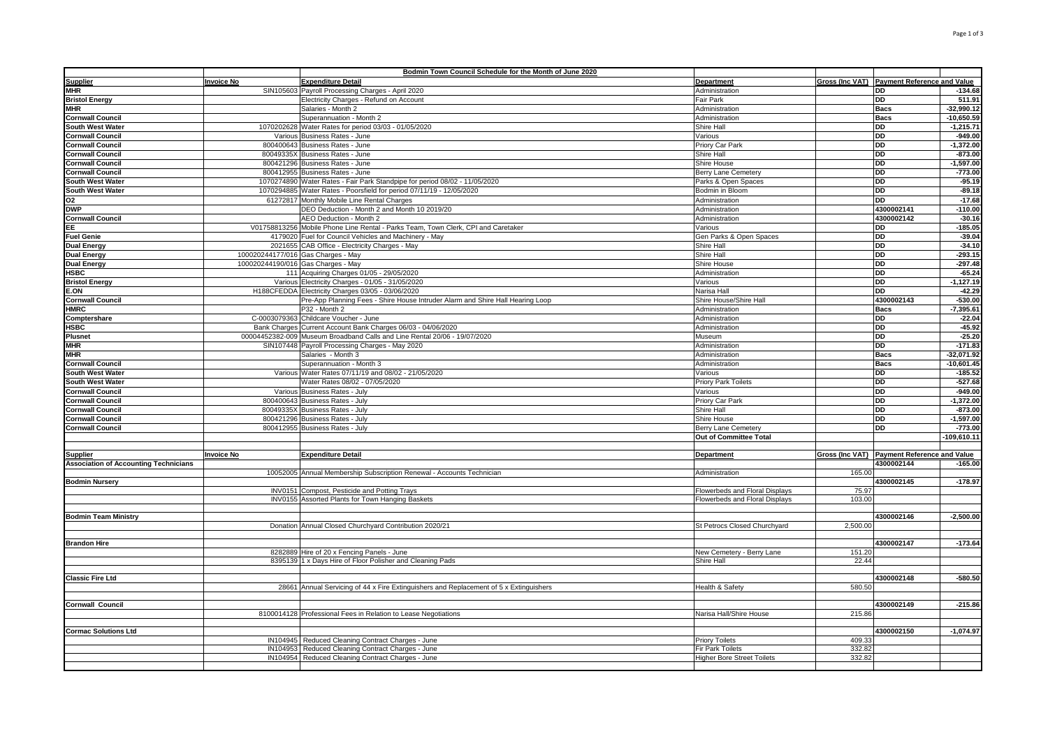|                                              |                                    | Bodmin Town Council Schedule for the Month of June 2020                                |                                   |                 |                                             |                       |
|----------------------------------------------|------------------------------------|----------------------------------------------------------------------------------------|-----------------------------------|-----------------|---------------------------------------------|-----------------------|
| Supplier                                     | <b>Invoice No</b>                  | <b>Expenditure Detail</b>                                                              | Department                        | Gross (Inc VAT) | <b>Payment Reference and Value</b>          |                       |
| <b>MHR</b>                                   |                                    | SIN105603 Payroll Processing Charges - April 2020                                      | Administration                    |                 | DD                                          | $-134.68$             |
| <b>Bristol Energy</b>                        |                                    | Electricity Charges - Refund on Account                                                | <b>Fair Park</b>                  |                 | <b>DD</b>                                   | 511.91                |
| <b>MHR</b>                                   |                                    | Salaries - Month 2                                                                     | Administration                    |                 | <b>Bacs</b>                                 | $-32,990.12$          |
| <b>Cornwall Council</b>                      |                                    | Superannuation - Month 2                                                               | Administration                    |                 | <b>Bacs</b>                                 | $-10,650.59$          |
| South West Water                             |                                    | 1070202628 Water Rates for period 03/03 - 01/05/2020                                   | Shire Hall                        |                 | <b>DD</b>                                   | $-1,215.71$           |
| <b>Cornwall Council</b>                      |                                    | Various Business Rates - June                                                          | Various                           |                 | <b>DD</b>                                   | $-949.00$             |
| <b>Cornwall Council</b>                      |                                    | 800400643 Business Rates - June                                                        | Priory Car Park                   |                 | <b>DD</b>                                   | $-1,372.00$           |
| <b>Cornwall Council</b>                      |                                    | 80049335X Business Rates - June                                                        | Shire Hall                        |                 | <b>DD</b>                                   | $-873.00$             |
| <b>Cornwall Council</b>                      |                                    | 800421296 Business Rates - June                                                        | Shire House                       |                 | <b>DD</b>                                   | $-1,597.00$           |
| <b>Cornwall Council</b>                      |                                    | 800412955 Business Rates - June                                                        | Berry Lane Cemetery               |                 | <b>DD</b>                                   | $-773.00$             |
| <b>South West Water</b>                      |                                    | 1070274890 Water Rates - Fair Park Standpipe for period 08/02 - 11/05/2020             | Parks & Open Spaces               |                 | <b>DD</b>                                   | $-95.19$              |
| <b>South West Water</b>                      |                                    | 1070294885 Water Rates - Poorsfield for period 07/11/19 - 12/05/2020                   | Bodmin in Bloom                   |                 | <b>DD</b>                                   | $-89.18$              |
|                                              |                                    | 61272817 Monthly Mobile Line Rental Charges                                            | Administration                    |                 | <b>DD</b>                                   | $-17.68$              |
| O <sub>2</sub><br>DWP                        |                                    | DEO Deduction - Month 2 and Month 10 2019/20                                           | Administration                    |                 | 4300002141                                  | $-110.00$             |
| <b>Cornwall Council</b>                      |                                    | AEO Deduction - Month 2                                                                | Administration                    |                 | 4300002142                                  | $-30.16$              |
| EE                                           |                                    | V01758813256 Mobile Phone Line Rental - Parks Team, Town Clerk, CPI and Caretaker      | Various                           |                 | <b>DD</b>                                   | $-185.05$             |
| <b>Fuel Genie</b>                            |                                    | 4179020 Fuel for Council Vehicles and Machinery - May                                  | Gen Parks & Open Spaces           |                 | <b>DD</b>                                   | $-39.04$              |
|                                              |                                    |                                                                                        |                                   |                 | <b>DD</b>                                   |                       |
| <b>Dual Energy</b>                           |                                    | 2021655 CAB Office - Electricity Charges - May                                         | Shire Hall<br>Shire Hall          |                 | <b>DD</b>                                   | $-34.10$<br>$-293.15$ |
| <b>Dual Energy</b>                           | 100020244177/016 Gas Charges - May |                                                                                        |                                   |                 | <b>DD</b>                                   |                       |
| <b>Dual Energy</b>                           | 100020244190/016 Gas Charges - May |                                                                                        | Shire House                       |                 |                                             | $-297.48$             |
| <b>HSBC</b>                                  |                                    | 111 Acquiring Charges 01/05 - 29/05/2020                                               | Administration                    |                 | <b>DD</b>                                   | $-65.24$              |
| <b>Bristol Energy</b>                        |                                    | Various Electricity Charges - 01/05 - 31/05/2020                                       | Various                           |                 | <b>DD</b>                                   | $-1,127.19$           |
| E.ON                                         |                                    | H188CFEDDA Electricity Charges 03/05 - 03/06/2020                                      | Narisa Hall                       |                 | <b>DD</b>                                   | $-42.29$              |
| <b>Cornwall Council</b>                      |                                    | Pre-App Planning Fees - Shire House Intruder Alarm and Shire Hall Hearing Loop         | Shire House/Shire Hall            |                 | 4300002143                                  | $-530.00$             |
| <b>HMRC</b>                                  |                                    | P32 - Month 2                                                                          | Administration                    |                 | <b>Bacs</b>                                 | $-7,395.61$           |
| Comptershare                                 |                                    | C-0003079363 Childcare Voucher - June                                                  | Administration                    |                 | DD                                          | $-22.04$              |
| <b>HSBC</b>                                  |                                    | Bank Charges Current Account Bank Charges 06/03 - 04/06/2020                           | Administration                    |                 | <b>DD</b>                                   | $-45.92$              |
| Plusnet                                      |                                    | 00004452382-009 Museum Broadband Calls and Line Rental 20/06 - 19/07/2020              | Museum                            |                 | <b>DD</b>                                   | $-25.20$              |
| <b>MHR</b>                                   |                                    | SIN107448 Payroll Processing Charges - May 2020                                        | Administration                    |                 | <b>DD</b>                                   | $-171.83$             |
| <b>MHR</b>                                   |                                    | Salaries - Month 3                                                                     | Administration                    |                 | <b>Bacs</b>                                 | $-32,071.92$          |
| <b>Cornwall Council</b>                      |                                    | Superannuation - Month 3                                                               | Administration                    |                 | <b>Bacs</b>                                 | $-10,601.45$          |
| <b>South West Water</b>                      |                                    | Various Water Rates 07/11/19 and 08/02 - 21/05/2020                                    | Various                           |                 | DD                                          | $-185.52$             |
| <b>South West Water</b>                      |                                    | Water Rates 08/02 - 07/05/2020                                                         | <b>Priory Park Toilets</b>        |                 | <b>DD</b>                                   | $-527.68$             |
| <b>Cornwall Council</b>                      |                                    | Various Business Rates - July                                                          | Various                           |                 | <b>DD</b>                                   | $-949.00$             |
| <b>Cornwall Council</b>                      |                                    | 800400643 Business Rates - July                                                        | Priory Car Park                   |                 | <b>DD</b>                                   | $-1,372.00$           |
| <b>Cornwall Council</b>                      |                                    | 80049335X Business Rates - July                                                        | Shire Hall                        |                 | <b>DD</b>                                   | $-873.00$             |
| <b>Cornwall Council</b>                      |                                    | 800421296 Business Rates - July                                                        | Shire House                       |                 | <b>DD</b>                                   | $-1,597.00$           |
| <b>Cornwall Council</b>                      |                                    | 800412955 Business Rates - July                                                        | <b>Berry Lane Cemetery</b>        |                 | DD                                          | $-773.00$             |
|                                              |                                    |                                                                                        | <b>Out of Committee Total</b>     |                 |                                             | $-109,610.11$         |
|                                              |                                    |                                                                                        |                                   |                 |                                             |                       |
| <b>Supplier</b>                              | <b>Invoice No</b>                  | <b>Expenditure Detail</b>                                                              | Department                        |                 | Gross (Inc VAT) Payment Reference and Value |                       |
| <b>Association of Accounting Technicians</b> |                                    |                                                                                        |                                   |                 | 4300002144                                  | $-165.00$             |
|                                              |                                    | 10052005 Annual Membership Subscription Renewal - Accounts Technician                  | Administration                    | 165.00          |                                             |                       |
| <b>Bodmin Nursery</b>                        |                                    |                                                                                        |                                   |                 | 4300002145                                  | $-178.97$             |
|                                              |                                    | INV0151 Compost, Pesticide and Potting Trays                                           | Flowerbeds and Floral Displays    | 75.97           |                                             |                       |
|                                              |                                    | INV0155 Assorted Plants for Town Hanging Baskets                                       | Flowerbeds and Floral Displays    | 103.00          |                                             |                       |
|                                              |                                    |                                                                                        |                                   |                 |                                             |                       |
| <b>Bodmin Team Ministry</b>                  |                                    |                                                                                        |                                   |                 | 4300002146                                  | $-2,500.00$           |
|                                              |                                    | Donation Annual Closed Churchyard Contribution 2020/21                                 | St Petrocs Closed Churchyard      | 2,500.00        |                                             |                       |
|                                              |                                    |                                                                                        |                                   |                 |                                             |                       |
| <b>Brandon Hire</b>                          |                                    |                                                                                        |                                   |                 | 4300002147                                  | $-173.64$             |
|                                              |                                    | 8282889 Hire of 20 x Fencing Panels - June                                             | New Cemetery - Berry Lane         | 151.20          |                                             |                       |
|                                              |                                    | 8395139 1 x Days Hire of Floor Polisher and Cleaning Pads                              | Shire Hall                        | 22.44           |                                             |                       |
|                                              |                                    |                                                                                        |                                   |                 |                                             |                       |
| <b>Classic Fire Ltd</b>                      |                                    |                                                                                        |                                   |                 | 4300002148                                  | $-580.50$             |
|                                              |                                    | 28661 Annual Servicing of 44 x Fire Extinguishers and Replacement of 5 x Extinguishers | Health & Safety                   | 580.50          |                                             |                       |
|                                              |                                    |                                                                                        |                                   |                 |                                             |                       |
| <b>Cornwall Council</b>                      |                                    |                                                                                        |                                   |                 | 4300002149                                  | $-215.86$             |
|                                              |                                    | 8100014128 Professional Fees in Relation to Lease Negotiations                         | Narisa Hall/Shire House           | 215.86          |                                             |                       |
|                                              |                                    |                                                                                        |                                   |                 |                                             |                       |
| <b>Cormac Solutions Ltd</b>                  |                                    |                                                                                        |                                   |                 | 4300002150                                  | $-1,074.97$           |
|                                              | IN104945                           | Reduced Cleaning Contract Charges - June                                               | <b>Priory Toilets</b>             | 409.33          |                                             |                       |
|                                              | IN104953                           | Reduced Cleaning Contract Charges - June                                               | Fir Park Toilets                  | 332.82          |                                             |                       |
|                                              |                                    | IN104954 Reduced Cleaning Contract Charges - June                                      | <b>Higher Bore Street Toilets</b> | 332.82          |                                             |                       |
|                                              |                                    |                                                                                        |                                   |                 |                                             |                       |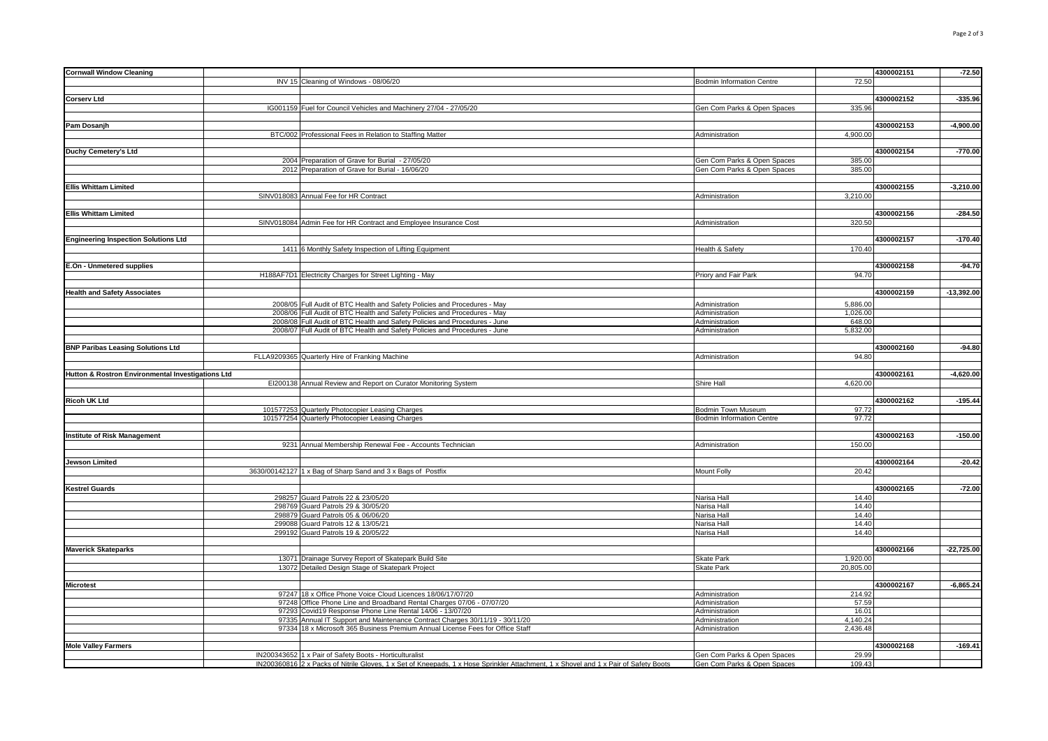| <b>Cornwall Window Cleaning</b>                   |                                                                                                                                      |                                  |           | 4300002151 | $-72.50$     |
|---------------------------------------------------|--------------------------------------------------------------------------------------------------------------------------------------|----------------------------------|-----------|------------|--------------|
|                                                   | INV 15 Cleaning of Windows - 08/06/20                                                                                                | <b>Bodmin Information Centre</b> | 72.50     |            |              |
|                                                   |                                                                                                                                      |                                  |           |            |              |
| <b>Corserv Ltd</b>                                |                                                                                                                                      |                                  |           | 4300002152 | $-335.96$    |
|                                                   | IG001159 Fuel for Council Vehicles and Machinery 27/04 - 27/05/20                                                                    | Gen Com Parks & Open Spaces      | 335.96    |            |              |
|                                                   |                                                                                                                                      |                                  |           |            |              |
|                                                   |                                                                                                                                      |                                  |           |            | $-4,900.00$  |
| Pam Dosanjh                                       |                                                                                                                                      |                                  |           | 4300002153 |              |
|                                                   | BTC/002 Professional Fees in Relation to Staffing Matter                                                                             | Administration                   | 4,900.00  |            |              |
|                                                   |                                                                                                                                      |                                  |           |            |              |
| Duchy Cemetery's Ltd                              |                                                                                                                                      |                                  |           | 4300002154 | $-770.00$    |
|                                                   | 2004 Preparation of Grave for Burial - 27/05/20                                                                                      | Gen Com Parks & Open Spaces      | 385.00    |            |              |
|                                                   | 2012 Preparation of Grave for Burial - 16/06/20                                                                                      | Gen Com Parks & Open Spaces      | 385.00    |            |              |
|                                                   |                                                                                                                                      |                                  |           |            |              |
| <b>Ellis Whittam Limited</b>                      |                                                                                                                                      |                                  |           | 4300002155 | $-3,210.00$  |
|                                                   | SINV018083 Annual Fee for HR Contract                                                                                                | Administration                   | 3,210.00  |            |              |
|                                                   |                                                                                                                                      |                                  |           |            |              |
| <b>Ellis Whittam Limited</b>                      |                                                                                                                                      |                                  |           | 4300002156 | $-284.50$    |
|                                                   | SINV018084 Admin Fee for HR Contract and Employee Insurance Cost                                                                     | Administration                   | 320.50    |            |              |
|                                                   |                                                                                                                                      |                                  |           |            |              |
| <b>Engineering Inspection Solutions Ltd</b>       |                                                                                                                                      |                                  |           | 4300002157 | $-170.40$    |
|                                                   |                                                                                                                                      | Health & Safety                  | 170.40    |            |              |
|                                                   | 1411 6 Monthly Safety Inspection of Lifting Equipment                                                                                |                                  |           |            |              |
|                                                   |                                                                                                                                      |                                  |           |            |              |
| E.On - Unmetered supplies                         |                                                                                                                                      |                                  |           | 4300002158 | $-94.70$     |
|                                                   | H188AF7D1 Electricity Charges for Street Lighting - May                                                                              | Priory and Fair Park             | 94.70     |            |              |
|                                                   |                                                                                                                                      |                                  |           |            |              |
| <b>Health and Safety Associates</b>               |                                                                                                                                      |                                  |           | 4300002159 | $-13,392.00$ |
|                                                   | 2008/05 Full Audit of BTC Health and Safety Policies and Procedures - May                                                            | Administration                   | 5,886.00  |            |              |
|                                                   | 2008/06 Full Audit of BTC Health and Safety Policies and Procedures - May                                                            | Administration                   | 1,026.00  |            |              |
|                                                   | 2008/08 Full Audit of BTC Health and Safety Policies and Procedures - June                                                           | Administration                   | 648.00    |            |              |
|                                                   | 2008/07 Full Audit of BTC Health and Safety Policies and Procedures - June                                                           | Administration                   | 5,832.00  |            |              |
|                                                   |                                                                                                                                      |                                  |           |            |              |
| <b>BNP Paribas Leasing Solutions Ltd</b>          |                                                                                                                                      |                                  |           | 4300002160 | $-94.80$     |
|                                                   | FLLA9209365 Quarterly Hire of Franking Machine                                                                                       | Administration                   | 94.80     |            |              |
|                                                   |                                                                                                                                      |                                  |           |            |              |
|                                                   |                                                                                                                                      |                                  |           | 4300002161 |              |
| Hutton & Rostron Environmental Investigations Ltd |                                                                                                                                      |                                  |           |            | $-4,620.00$  |
|                                                   | El200138 Annual Review and Report on Curator Monitoring System                                                                       | Shire Hall                       | 4,620.00  |            |              |
|                                                   |                                                                                                                                      |                                  |           |            |              |
| Ricoh UK Ltd                                      |                                                                                                                                      |                                  |           | 4300002162 | $-195.44$    |
|                                                   | 101577253 Quarterly Photocopier Leasing Charges                                                                                      | Bodmin Town Museum               | 97.72     |            |              |
|                                                   | 101577254 Quarterly Photocopier Leasing Charges                                                                                      | <b>Bodmin Information Centre</b> | 97.72     |            |              |
|                                                   |                                                                                                                                      |                                  |           |            |              |
| <b>Institute of Risk Management</b>               |                                                                                                                                      |                                  |           | 4300002163 | $-150.00$    |
|                                                   | 9231 Annual Membership Renewal Fee - Accounts Technician                                                                             | Administration                   | 150.00    |            |              |
|                                                   |                                                                                                                                      |                                  |           |            |              |
| Jewson Limited                                    |                                                                                                                                      |                                  |           | 4300002164 | $-20.42$     |
|                                                   | 3630/00142127 1 x Bag of Sharp Sand and 3 x Bags of Postfix                                                                          | <b>Mount Folly</b>               | 20.42     |            |              |
|                                                   |                                                                                                                                      |                                  |           |            |              |
| <b>Kestrel Guards</b>                             |                                                                                                                                      |                                  |           | 4300002165 | $-72.00$     |
|                                                   | 298257 Guard Patrols 22 & 23/05/20                                                                                                   | Narisa Hall                      | 14.40     |            |              |
|                                                   | 298769 Guard Patrols 29 & 30/05/20                                                                                                   | Narisa Hall                      | 14.40     |            |              |
|                                                   | 298879 Guard Patrols 05 & 06/06/20                                                                                                   | Narisa Hall                      | 14.40     |            |              |
|                                                   | 299088 Guard Patrols 12 & 13/05/21                                                                                                   | Narisa Hall                      | 14.40     |            |              |
|                                                   |                                                                                                                                      |                                  | 14.40     |            |              |
|                                                   | 299192 Guard Patrols 19 & 20/05/22                                                                                                   | Narisa Hall                      |           |            |              |
|                                                   |                                                                                                                                      |                                  |           |            |              |
| <b>Maverick Skateparks</b>                        |                                                                                                                                      |                                  |           | 4300002166 | $-22,725.00$ |
|                                                   | 13071 Drainage Survey Report of Skatepark Build Site                                                                                 | <b>Skate Park</b>                | 1,920.00  |            |              |
|                                                   | 13072 Detailed Design Stage of Skatepark Project                                                                                     | Skate Park                       | 20,805.00 |            |              |
|                                                   |                                                                                                                                      |                                  |           |            |              |
| <b>Microtest</b>                                  |                                                                                                                                      |                                  |           | 4300002167 | $-6,865.24$  |
|                                                   | 97247 18 x Office Phone Voice Cloud Licences 18/06/17/07/20                                                                          | Administration                   | 214.92    |            |              |
|                                                   | 97248 Office Phone Line and Broadband Rental Charges 07/06 - 07/07/20                                                                | Administration                   | 57.59     |            |              |
|                                                   | 97293 Covid19 Response Phone Line Rental 14/06 - 13/07/20                                                                            | Administration                   | 16.01     |            |              |
|                                                   | 97335 Annual IT Support and Maintenance Contract Charges 30/11/19 - 30/11/20                                                         | Administration                   | 4,140.24  |            |              |
|                                                   | 97334 18 x Microsoft 365 Business Premium Annual License Fees for Office Staff                                                       | Administration                   | 2,436.48  |            |              |
|                                                   |                                                                                                                                      |                                  |           |            |              |
| <b>Mole Valley Farmers</b>                        |                                                                                                                                      |                                  |           | 4300002168 | $-169.41$    |
|                                                   | IN200343652 1 x Pair of Safety Boots - Horticulturalist                                                                              | Gen Com Parks & Open Spaces      | 29.99     |            |              |
|                                                   | IN200360816 2 x Packs of Nitrile Gloves, 1 x Set of Kneepads, 1 x Hose Sprinkler Attachment, 1 x Shovel and 1 x Pair of Safety Boots | Gen Com Parks & Open Spaces      | 109.43    |            |              |
|                                                   |                                                                                                                                      |                                  |           |            |              |